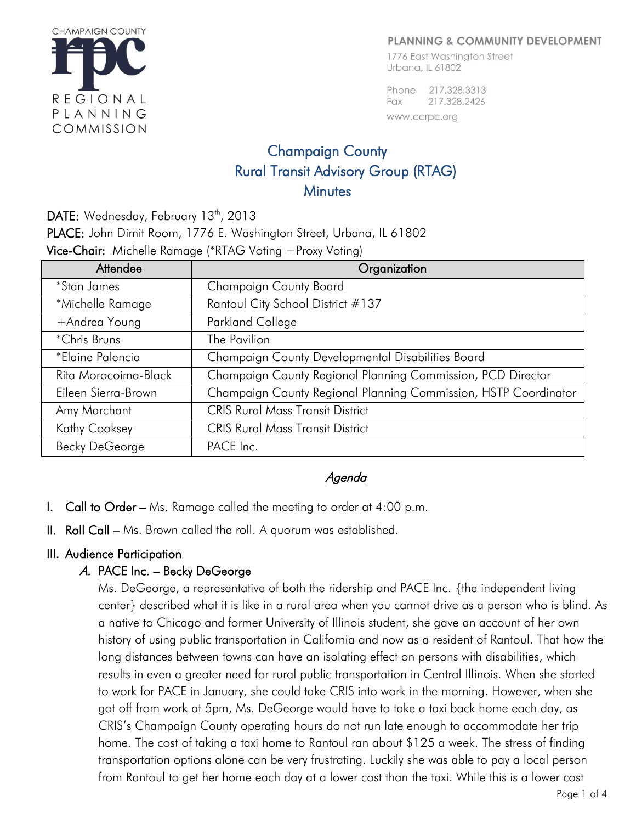

#### PLANNING & COMMUNITY DEVELOPMENT

1776 East Washington Street Urbana, IL 61802

Phone 217.328.3313 217.328.2426 Fax www.ccrpc.org

# Champaign County Rural Transit Advisory Group (RTAG) **Minutes**

DATE: Wednesday, February  $13<sup>th</sup>$ , 2013 PLACE: John Dimit Room, 1776 E. Washington Street, Urbana, IL 61802 **Vice-Chair:** Michelle Ramage (\*RTAG Voting +Proxy Voting)

| Attendee              | Organization                                                    |
|-----------------------|-----------------------------------------------------------------|
| <i>*Stan James</i>    | <b>Champaign County Board</b>                                   |
| *Michelle Ramage      | Rantoul City School District #137                               |
| +Andrea Young         | Parkland College                                                |
| *Chris Bruns          | The Pavilion                                                    |
| *Elaine Palencia      | Champaign County Developmental Disabilities Board               |
| Rita Morocoima-Black  | Champaign County Regional Planning Commission, PCD Director     |
| Eileen Sierra-Brown   | Champaign County Regional Planning Commission, HSTP Coordinator |
| Amy Marchant          | <b>CRIS Rural Mass Transit District</b>                         |
| <b>Kathy Cooksey</b>  | <b>CRIS Rural Mass Transit District</b>                         |
| <b>Becky DeGeorge</b> | PACE Inc.                                                       |

## Agenda

- I. Call to Order Ms. Ramage called the meeting to order at 4:00 p.m.
- II. Roll Call Ms. Brown called the roll. A quorum was established.

#### III. Audience Participation

## A. PACE Inc. – Becky DeGeorge

Ms. DeGeorge, a representative of both the ridership and PACE Inc. {the independent living center} described what it is like in a rural area when you cannot drive as a person who is blind. As a native to Chicago and former University of Illinois student, she gave an account of her own history of using public transportation in California and now as a resident of Rantoul. That how the long distances between towns can have an isolating effect on persons with disabilities, which results in even a greater need for rural public transportation in Central Illinois. When she started to work for PACE in January, she could take CRIS into work in the morning. However, when she got off from work at 5pm, Ms. DeGeorge would have to take a taxi back home each day, as CRIS's Champaign County operating hours do not run late enough to accommodate her trip home. The cost of taking a taxi home to Rantoul ran about \$125 a week. The stress of finding transportation options alone can be very frustrating. Luckily she was able to pay a local person from Rantoul to get her home each day at a lower cost than the taxi. While this is a lower cost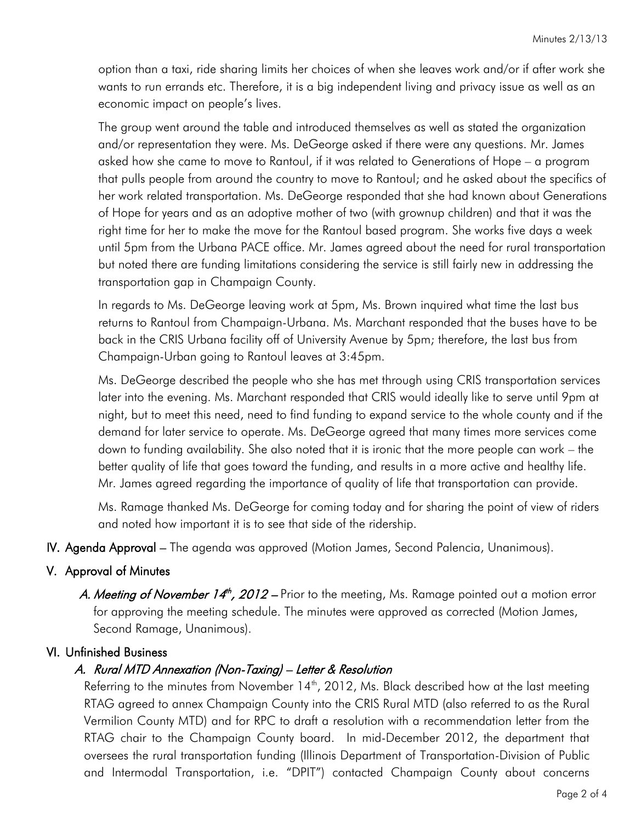option than a taxi, ride sharing limits her choices of when she leaves work and/or if after work she wants to run errands etc. Therefore, it is a big independent living and privacy issue as well as an economic impact on people's lives.

The group went around the table and introduced themselves as well as stated the organization and/or representation they were. Ms. DeGeorge asked if there were any questions. Mr. James asked how she came to move to Rantoul, if it was related to Generations of Hope – a program that pulls people from around the country to move to Rantoul; and he asked about the specifics of her work related transportation. Ms. DeGeorge responded that she had known about Generations of Hope for years and as an adoptive mother of two (with grownup children) and that it was the right time for her to make the move for the Rantoul based program. She works five days a week until 5pm from the Urbana PACE office. Mr. James agreed about the need for rural transportation but noted there are funding limitations considering the service is still fairly new in addressing the transportation gap in Champaign County.

In regards to Ms. DeGeorge leaving work at 5pm, Ms. Brown inquired what time the last bus returns to Rantoul from Champaign-Urbana. Ms. Marchant responded that the buses have to be back in the CRIS Urbana facility off of University Avenue by 5pm; therefore, the last bus from Champaign-Urban going to Rantoul leaves at 3:45pm.

Ms. DeGeorge described the people who she has met through using CRIS transportation services later into the evening. Ms. Marchant responded that CRIS would ideally like to serve until 9pm at night, but to meet this need, need to find funding to expand service to the whole county and if the demand for later service to operate. Ms. DeGeorge agreed that many times more services come down to funding availability. She also noted that it is ironic that the more people can work – the better quality of life that goes toward the funding, and results in a more active and healthy life. Mr. James agreed regarding the importance of quality of life that transportation can provide.

Ms. Ramage thanked Ms. DeGeorge for coming today and for sharing the point of view of riders and noted how important it is to see that side of the ridership.

IV. Agenda Approval – The agenda was approved (Motion James, Second Palencia, Unanimous).

## V. Approval of Minutes

A. Meeting of November 14<sup>th</sup>, 2012 – Prior to the meeting, Ms. Ramage pointed out a motion error for approving the meeting schedule. The minutes were approved as corrected (Motion James, Second Ramage, Unanimous).

## VI. Unfinished Business

#### A. Rural MTD Annexation (Non-Taxing) – Letter & Resolution

Referring to the minutes from November  $14<sup>th</sup>$ , 2012, Ms. Black described how at the last meeting RTAG agreed to annex Champaign County into the CRIS Rural MTD (also referred to as the Rural Vermilion County MTD) and for RPC to draft a resolution with a recommendation letter from the RTAG chair to the Champaign County board. In mid-December 2012, the department that oversees the rural transportation funding (Illinois Department of Transportation-Division of Public and Intermodal Transportation, i.e. "DPIT") contacted Champaign County about concerns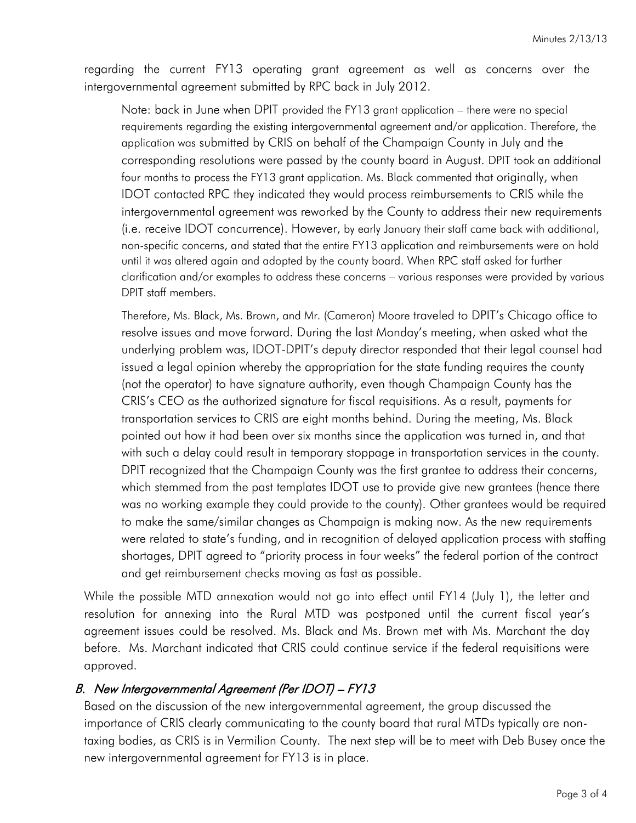regarding the current FY13 operating grant agreement as well as concerns over the intergovernmental agreement submitted by RPC back in July 2012.

Note: back in June when DPIT provided the FY13 grant application – there were no special requirements regarding the existing intergovernmental agreement and/or application. Therefore, the application was submitted by CRIS on behalf of the Champaign County in July and the corresponding resolutions were passed by the county board in August. DPIT took an additional four months to process the FY13 grant application. Ms. Black commented that originally, when IDOT contacted RPC they indicated they would process reimbursements to CRIS while the intergovernmental agreement was reworked by the County to address their new requirements (i.e. receive IDOT concurrence). However, by early January their staff came back with additional, non-specific concerns, and stated that the entire FY13 application and reimbursements were on hold until it was altered again and adopted by the county board. When RPC staff asked for further clarification and/or examples to address these concerns – various responses were provided by various DPIT staff members.

Therefore, Ms. Black, Ms. Brown, and Mr. (Cameron) Moore traveled to DPIT's Chicago office to resolve issues and move forward. During the last Monday's meeting, when asked what the underlying problem was, IDOT-DPIT's deputy director responded that their legal counsel had issued a legal opinion whereby the appropriation for the state funding requires the county (not the operator) to have signature authority, even though Champaign County has the CRIS's CEO as the authorized signature for fiscal requisitions. As a result, payments for transportation services to CRIS are eight months behind. During the meeting, Ms. Black pointed out how it had been over six months since the application was turned in, and that with such a delay could result in temporary stoppage in transportation services in the county. DPIT recognized that the Champaign County was the first grantee to address their concerns, which stemmed from the past templates IDOT use to provide give new grantees (hence there was no working example they could provide to the county). Other grantees would be required to make the same/similar changes as Champaign is making now. As the new requirements were related to state's funding, and in recognition of delayed application process with staffing shortages, DPIT agreed to "priority process in four weeks" the federal portion of the contract and get reimbursement checks moving as fast as possible.

While the possible MTD annexation would not go into effect until FY14 (July 1), the letter and resolution for annexing into the Rural MTD was postponed until the current fiscal year's agreement issues could be resolved. Ms. Black and Ms. Brown met with Ms. Marchant the day before. Ms. Marchant indicated that CRIS could continue service if the federal requisitions were approved.

## B. New Intergovernmental Agreement (Per IDOT) – FY13

Based on the discussion of the new intergovernmental agreement, the group discussed the importance of CRIS clearly communicating to the county board that rural MTDs typically are nontaxing bodies, as CRIS is in Vermilion County. The next step will be to meet with Deb Busey once the new intergovernmental agreement for FY13 is in place.